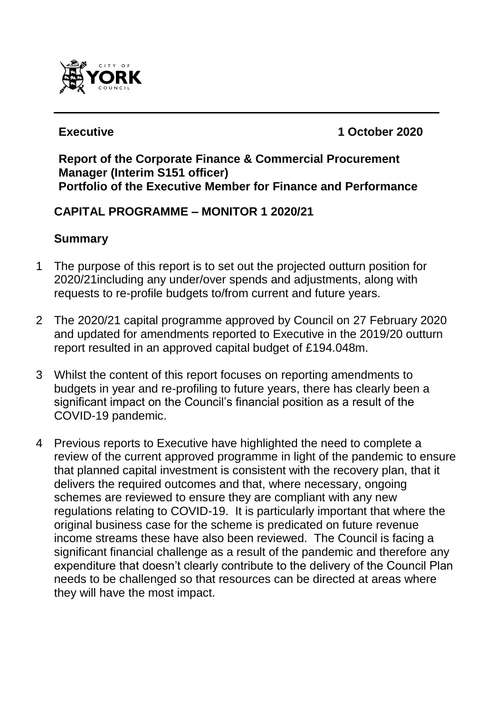

**Executive 1 October 2020**

#### **Report of the Corporate Finance & Commercial Procurement Manager (Interim S151 officer) Portfolio of the Executive Member for Finance and Performance**

# **CAPITAL PROGRAMME – MONITOR 1 2020/21**

# **Summary**

- 1 The purpose of this report is to set out the projected outturn position for 2020/21including any under/over spends and adjustments, along with requests to re-profile budgets to/from current and future years.
- 2 The 2020/21 capital programme approved by Council on 27 February 2020 and updated for amendments reported to Executive in the 2019/20 outturn report resulted in an approved capital budget of £194.048m.
- 3 Whilst the content of this report focuses on reporting amendments to budgets in year and re-profiling to future years, there has clearly been a significant impact on the Council's financial position as a result of the COVID-19 pandemic.
- 4 Previous reports to Executive have highlighted the need to complete a review of the current approved programme in light of the pandemic to ensure that planned capital investment is consistent with the recovery plan, that it delivers the required outcomes and that, where necessary, ongoing schemes are reviewed to ensure they are compliant with any new regulations relating to COVID-19. It is particularly important that where the original business case for the scheme is predicated on future revenue income streams these have also been reviewed. The Council is facing a significant financial challenge as a result of the pandemic and therefore any expenditure that doesn't clearly contribute to the delivery of the Council Plan needs to be challenged so that resources can be directed at areas where they will have the most impact.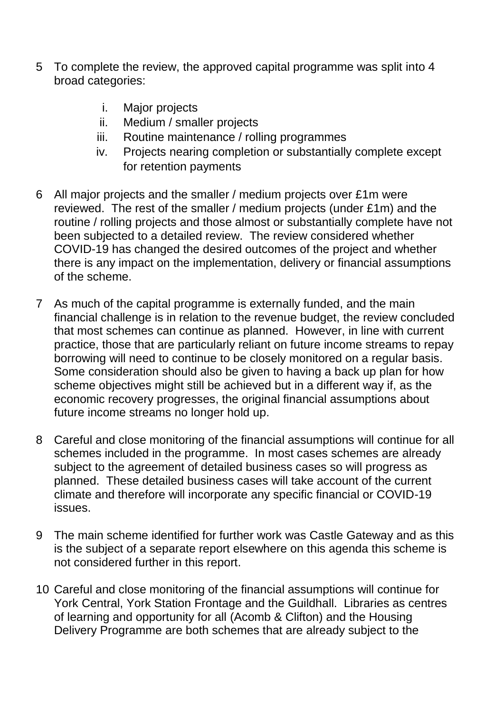- 5 To complete the review, the approved capital programme was split into 4 broad categories:
	- i. Major projects
	- ii. Medium / smaller projects
	- iii. Routine maintenance / rolling programmes
	- iv. Projects nearing completion or substantially complete except for retention payments
- 6 All major projects and the smaller / medium projects over £1m were reviewed. The rest of the smaller / medium projects (under £1m) and the routine / rolling projects and those almost or substantially complete have not been subjected to a detailed review. The review considered whether COVID-19 has changed the desired outcomes of the project and whether there is any impact on the implementation, delivery or financial assumptions of the scheme.
- 7 As much of the capital programme is externally funded, and the main financial challenge is in relation to the revenue budget, the review concluded that most schemes can continue as planned. However, in line with current practice, those that are particularly reliant on future income streams to repay borrowing will need to continue to be closely monitored on a regular basis. Some consideration should also be given to having a back up plan for how scheme objectives might still be achieved but in a different way if, as the economic recovery progresses, the original financial assumptions about future income streams no longer hold up.
- 8 Careful and close monitoring of the financial assumptions will continue for all schemes included in the programme. In most cases schemes are already subject to the agreement of detailed business cases so will progress as planned. These detailed business cases will take account of the current climate and therefore will incorporate any specific financial or COVID-19 issues.
- 9 The main scheme identified for further work was Castle Gateway and as this is the subject of a separate report elsewhere on this agenda this scheme is not considered further in this report.
- 10 Careful and close monitoring of the financial assumptions will continue for York Central, York Station Frontage and the Guildhall. Libraries as centres of learning and opportunity for all (Acomb & Clifton) and the Housing Delivery Programme are both schemes that are already subject to the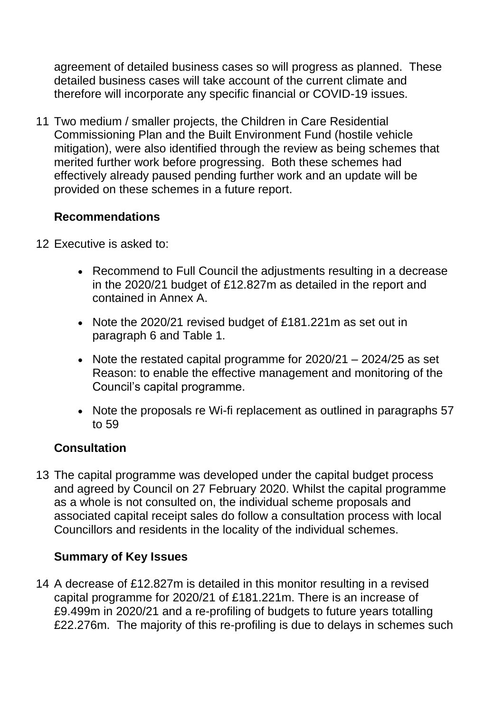agreement of detailed business cases so will progress as planned. These detailed business cases will take account of the current climate and therefore will incorporate any specific financial or COVID-19 issues.

11 Two medium / smaller projects, the Children in Care Residential Commissioning Plan and the Built Environment Fund (hostile vehicle mitigation), were also identified through the review as being schemes that merited further work before progressing. Both these schemes had effectively already paused pending further work and an update will be provided on these schemes in a future report.

# **Recommendations**

- 12 Executive is asked to:
	- Recommend to Full Council the adjustments resulting in a decrease in the 2020/21 budget of £12.827m as detailed in the report and contained in Annex A.
	- Note the 2020/21 revised budget of £181.221m as set out in paragraph 6 and Table 1.
	- Note the restated capital programme for 2020/21 2024/25 as set Reason: to enable the effective management and monitoring of the Council's capital programme.
	- Note the proposals re Wi-fi replacement as outlined in paragraphs 57 to 59

#### **Consultation**

13 The capital programme was developed under the capital budget process and agreed by Council on 27 February 2020. Whilst the capital programme as a whole is not consulted on, the individual scheme proposals and associated capital receipt sales do follow a consultation process with local Councillors and residents in the locality of the individual schemes.

#### **Summary of Key Issues**

14 A decrease of £12.827m is detailed in this monitor resulting in a revised capital programme for 2020/21 of £181.221m. There is an increase of £9.499m in 2020/21 and a re-profiling of budgets to future years totalling £22.276m. The majority of this re-profiling is due to delays in schemes such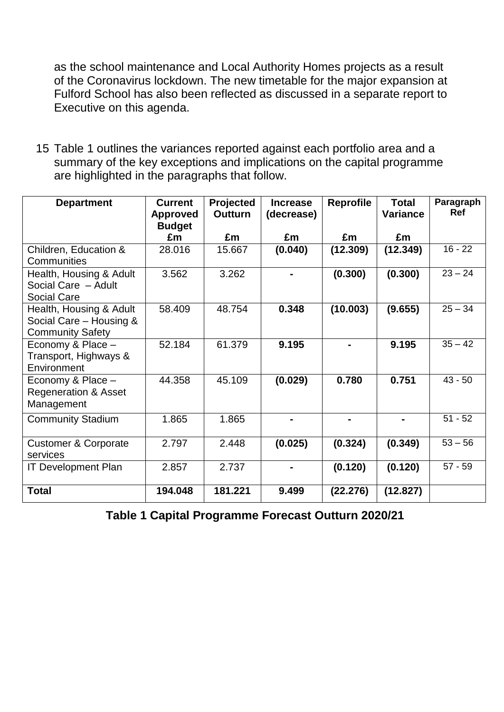as the school maintenance and Local Authority Homes projects as a result of the Coronavirus lockdown. The new timetable for the major expansion at Fulford School has also been reflected as discussed in a separate report to Executive on this agenda.

15 Table 1 outlines the variances reported against each portfolio area and a summary of the key exceptions and implications on the capital programme are highlighted in the paragraphs that follow.

| <b>Department</b>                                                             | <b>Current</b><br><b>Approved</b><br><b>Budget</b> | Projected<br><b>Outturn</b> | <b>Increase</b><br>(decrease) | <b>Reprofile</b> | <b>Total</b><br><b>Variance</b> | Paragraph<br><b>Ref</b> |
|-------------------------------------------------------------------------------|----------------------------------------------------|-----------------------------|-------------------------------|------------------|---------------------------------|-------------------------|
|                                                                               | £m                                                 | £m                          | £m                            | £m               | £m                              |                         |
| Children, Education &<br>Communities                                          | 28.016                                             | 15.667                      | (0.040)                       | (12.309)         | (12.349)                        | $16 - 22$               |
| Health, Housing & Adult<br>Social Care - Adult<br><b>Social Care</b>          | 3.562                                              | 3.262                       |                               | (0.300)          | (0.300)                         | $23 - 24$               |
| Health, Housing & Adult<br>Social Care - Housing &<br><b>Community Safety</b> | 58.409                                             | 48.754                      | 0.348                         | (10.003)         | (9.655)                         | $25 - 34$               |
| Economy & Place -<br>Transport, Highways &<br>Environment                     | 52.184                                             | 61.379                      | 9.195                         | $\blacksquare$   | 9.195                           | $35 - 42$               |
| Economy & Place -<br><b>Regeneration &amp; Asset</b><br>Management            | 44.358                                             | 45.109                      | (0.029)                       | 0.780            | 0.751                           | $43 - 50$               |
| <b>Community Stadium</b>                                                      | 1.865                                              | 1.865                       |                               |                  |                                 | $51 - 52$               |
| <b>Customer &amp; Corporate</b><br>services                                   | 2.797                                              | 2.448                       | (0.025)                       | (0.324)          | (0.349)                         | $53 - 56$               |
| <b>IT Development Plan</b>                                                    | 2.857                                              | 2.737                       |                               | (0.120)          | (0.120)                         | $57 - 59$               |
| <b>Total</b>                                                                  | 194.048                                            | 181.221                     | 9.499                         | (22.276)         | (12.827)                        |                         |

**Table 1 Capital Programme Forecast Outturn 2020/21**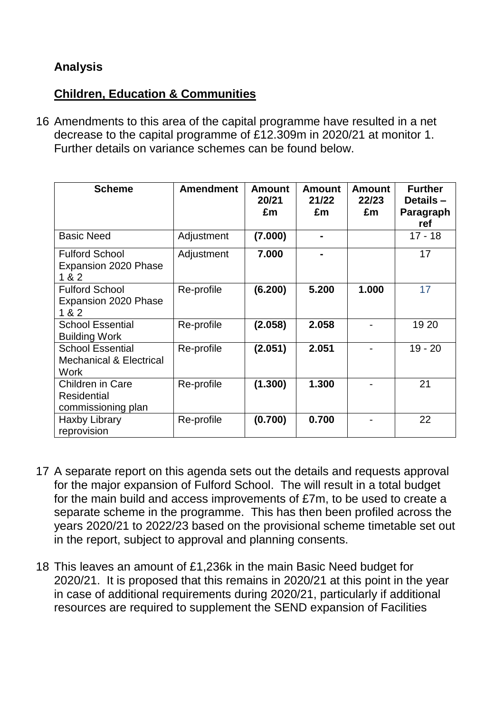# **Analysis**

#### **Children, Education & Communities**

16 Amendments to this area of the capital programme have resulted in a net decrease to the capital programme of £12.309m in 2020/21 at monitor 1. Further details on variance schemes can be found below.

| <b>Scheme</b>                                                         | <b>Amendment</b> | <b>Amount</b><br>20/21<br>£m | <b>Amount</b><br>21/22<br>£m | <b>Amount</b><br>22/23<br>£m | <b>Further</b><br>Details-<br>Paragraph<br>ref |
|-----------------------------------------------------------------------|------------------|------------------------------|------------------------------|------------------------------|------------------------------------------------|
| <b>Basic Need</b>                                                     | Adjustment       | (7.000)                      |                              |                              | $17 - 18$                                      |
| <b>Fulford School</b><br>Expansion 2020 Phase<br>1 & 2                | Adjustment       | 7.000                        |                              |                              | 17                                             |
| <b>Fulford School</b><br>Expansion 2020 Phase<br>1 & 2                | Re-profile       | (6.200)                      | 5.200                        | 1.000                        | 17                                             |
| <b>School Essential</b><br><b>Building Work</b>                       | Re-profile       | (2.058)                      | 2.058                        |                              | 19 20                                          |
| <b>School Essential</b><br><b>Mechanical &amp; Electrical</b><br>Work | Re-profile       | (2.051)                      | 2.051                        |                              | $19 - 20$                                      |
| Children in Care<br><b>Residential</b><br>commissioning plan          | Re-profile       | (1.300)                      | 1.300                        |                              | 21                                             |
| Haxby Library<br>reprovision                                          | Re-profile       | (0.700)                      | 0.700                        |                              | 22                                             |

- 17 A separate report on this agenda sets out the details and requests approval for the major expansion of Fulford School. The will result in a total budget for the main build and access improvements of £7m, to be used to create a separate scheme in the programme. This has then been profiled across the years 2020/21 to 2022/23 based on the provisional scheme timetable set out in the report, subject to approval and planning consents.
- 18 This leaves an amount of £1,236k in the main Basic Need budget for 2020/21. It is proposed that this remains in 2020/21 at this point in the year in case of additional requirements during 2020/21, particularly if additional resources are required to supplement the SEND expansion of Facilities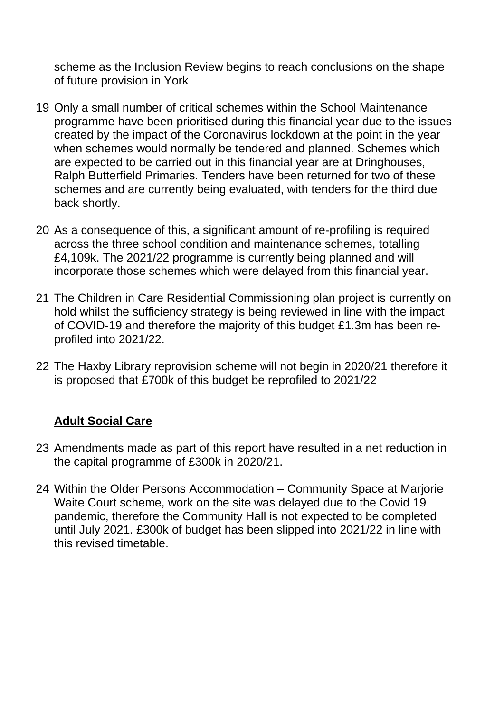scheme as the Inclusion Review begins to reach conclusions on the shape of future provision in York

- 19 Only a small number of critical schemes within the School Maintenance programme have been prioritised during this financial year due to the issues created by the impact of the Coronavirus lockdown at the point in the year when schemes would normally be tendered and planned. Schemes which are expected to be carried out in this financial year are at Dringhouses, Ralph Butterfield Primaries. Tenders have been returned for two of these schemes and are currently being evaluated, with tenders for the third due back shortly.
- 20 As a consequence of this, a significant amount of re-profiling is required across the three school condition and maintenance schemes, totalling £4,109k. The 2021/22 programme is currently being planned and will incorporate those schemes which were delayed from this financial year.
- 21 The Children in Care Residential Commissioning plan project is currently on hold whilst the sufficiency strategy is being reviewed in line with the impact of COVID-19 and therefore the majority of this budget £1.3m has been reprofiled into 2021/22.
- 22 The Haxby Library reprovision scheme will not begin in 2020/21 therefore it is proposed that £700k of this budget be reprofiled to 2021/22

# **Adult Social Care**

- 23 Amendments made as part of this report have resulted in a net reduction in the capital programme of £300k in 2020/21.
- 24 Within the Older Persons Accommodation Community Space at Marjorie Waite Court scheme, work on the site was delayed due to the Covid 19 pandemic, therefore the Community Hall is not expected to be completed until July 2021. £300k of budget has been slipped into 2021/22 in line with this revised timetable.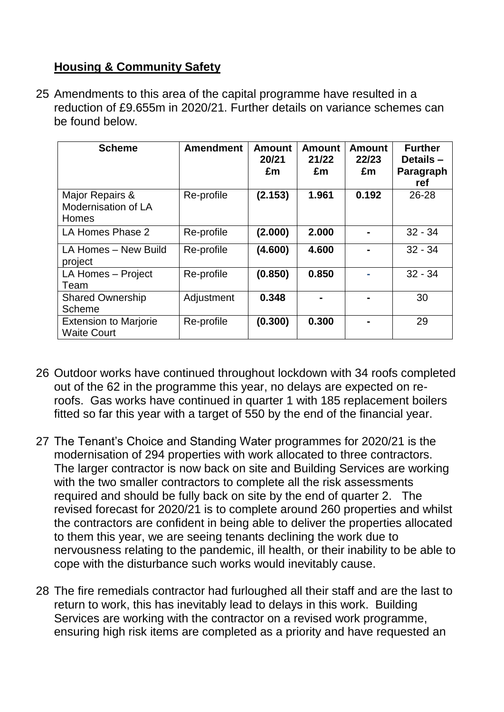# **Housing & Community Safety**

25 Amendments to this area of the capital programme have resulted in a reduction of £9.655m in 2020/21. Further details on variance schemes can be found below.

| <b>Scheme</b>                                      | <b>Amendment</b> | <b>Amount</b><br>20/21<br>£m | <b>Amount</b><br>21/22<br>£m | <b>Amount</b><br>22/23<br>£m | <b>Further</b><br>Details -<br>Paragraph<br>ref |
|----------------------------------------------------|------------------|------------------------------|------------------------------|------------------------------|-------------------------------------------------|
| Major Repairs &<br>Modernisation of LA<br>Homes    | Re-profile       | (2.153)                      | 1.961                        | 0.192                        | $26 - 28$                                       |
| LA Homes Phase 2                                   | Re-profile       | (2.000)                      | 2.000                        |                              | $32 - 34$                                       |
| LA Homes - New Build<br>project                    | Re-profile       | (4.600)                      | 4.600                        |                              | $32 - 34$                                       |
| LA Homes - Project<br>Team                         | Re-profile       | (0.850)                      | 0.850                        |                              | $32 - 34$                                       |
| <b>Shared Ownership</b><br>Scheme                  | Adjustment       | 0.348                        |                              |                              | 30                                              |
| <b>Extension to Marjorie</b><br><b>Waite Court</b> | Re-profile       | (0.300)                      | 0.300                        |                              | 29                                              |

- 26 Outdoor works have continued throughout lockdown with 34 roofs completed out of the 62 in the programme this year, no delays are expected on reroofs. Gas works have continued in quarter 1 with 185 replacement boilers fitted so far this year with a target of 550 by the end of the financial year.
- 27 The Tenant's Choice and Standing Water programmes for 2020/21 is the modernisation of 294 properties with work allocated to three contractors. The larger contractor is now back on site and Building Services are working with the two smaller contractors to complete all the risk assessments required and should be fully back on site by the end of quarter 2. The revised forecast for 2020/21 is to complete around 260 properties and whilst the contractors are confident in being able to deliver the properties allocated to them this year, we are seeing tenants declining the work due to nervousness relating to the pandemic, ill health, or their inability to be able to cope with the disturbance such works would inevitably cause.
- 28 The fire remedials contractor had furloughed all their staff and are the last to return to work, this has inevitably lead to delays in this work. Building Services are working with the contractor on a revised work programme, ensuring high risk items are completed as a priority and have requested an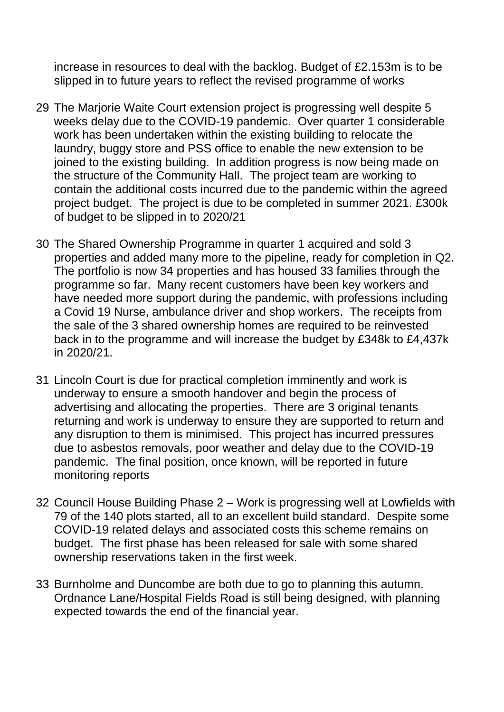increase in resources to deal with the backlog. Budget of £2.153m is to be slipped in to future years to reflect the revised programme of works

- 29 The Marjorie Waite Court extension project is progressing well despite 5 weeks delay due to the COVID-19 pandemic. Over quarter 1 considerable work has been undertaken within the existing building to relocate the laundry, buggy store and PSS office to enable the new extension to be joined to the existing building. In addition progress is now being made on the structure of the Community Hall. The project team are working to contain the additional costs incurred due to the pandemic within the agreed project budget. The project is due to be completed in summer 2021. £300k of budget to be slipped in to 2020/21
- 30 The Shared Ownership Programme in quarter 1 acquired and sold 3 properties and added many more to the pipeline, ready for completion in Q2. The portfolio is now 34 properties and has housed 33 families through the programme so far. Many recent customers have been key workers and have needed more support during the pandemic, with professions including a Covid 19 Nurse, ambulance driver and shop workers. The receipts from the sale of the 3 shared ownership homes are required to be reinvested back in to the programme and will increase the budget by £348k to £4,437k in 2020/21.
- 31 Lincoln Court is due for practical completion imminently and work is underway to ensure a smooth handover and begin the process of advertising and allocating the properties. There are 3 original tenants returning and work is underway to ensure they are supported to return and any disruption to them is minimised. This project has incurred pressures due to asbestos removals, poor weather and delay due to the COVID-19 pandemic. The final position, once known, will be reported in future monitoring reports
- 32 Council House Building Phase 2 Work is progressing well at Lowfields with 79 of the 140 plots started, all to an excellent build standard. Despite some COVID-19 related delays and associated costs this scheme remains on budget. The first phase has been released for sale with some shared ownership reservations taken in the first week.
- 33 Burnholme and Duncombe are both due to go to planning this autumn. Ordnance Lane/Hospital Fields Road is still being designed, with planning expected towards the end of the financial year.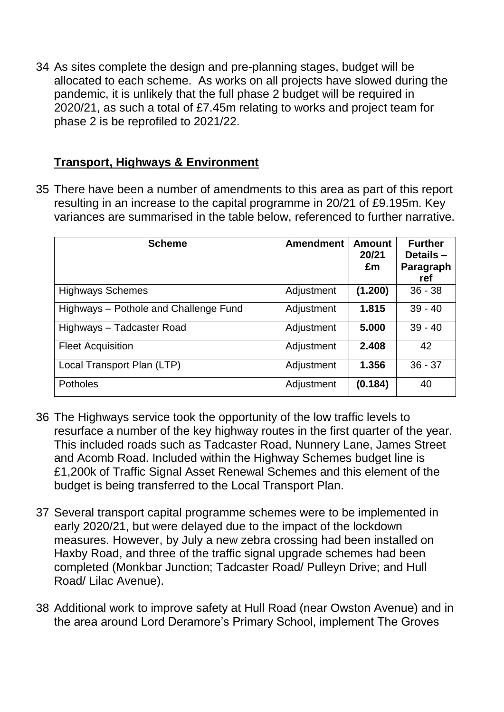34 As sites complete the design and pre-planning stages, budget will be allocated to each scheme. As works on all projects have slowed during the pandemic, it is unlikely that the full phase 2 budget will be required in 2020/21, as such a total of £7.45m relating to works and project team for phase 2 is be reprofiled to 2021/22.

#### **Transport, Highways & Environment**

35 There have been a number of amendments to this area as part of this report resulting in an increase to the capital programme in 20/21 of £9.195m. Key variances are summarised in the table below, referenced to further narrative.

| <b>Scheme</b>                         | <b>Amendment</b> | <b>Amount</b><br>20/21<br>£m | <b>Further</b><br>Details -<br>Paragraph<br>ref |
|---------------------------------------|------------------|------------------------------|-------------------------------------------------|
| <b>Highways Schemes</b>               | Adjustment       | (1.200)                      | $36 - 38$                                       |
| Highways - Pothole and Challenge Fund | Adjustment       | 1.815                        | $39 - 40$                                       |
| Highways - Tadcaster Road             | Adjustment       | 5.000                        | $39 - 40$                                       |
| <b>Fleet Acquisition</b>              | Adjustment       | 2.408                        | 42                                              |
| Local Transport Plan (LTP)            | Adjustment       | 1.356                        | $36 - 37$                                       |
| <b>Potholes</b>                       | Adjustment       | (0.184)                      | 40                                              |

- 36 The Highways service took the opportunity of the low traffic levels to resurface a number of the key highway routes in the first quarter of the year. This included roads such as Tadcaster Road, Nunnery Lane, James Street and Acomb Road. Included within the Highway Schemes budget line is £1,200k of Traffic Signal Asset Renewal Schemes and this element of the budget is being transferred to the Local Transport Plan.
- 37 Several transport capital programme schemes were to be implemented in early 2020/21, but were delayed due to the impact of the lockdown measures. However, by July a new zebra crossing had been installed on Haxby Road, and three of the traffic signal upgrade schemes had been completed (Monkbar Junction; Tadcaster Road/ Pulleyn Drive; and Hull Road/ Lilac Avenue).
- 38 Additional work to improve safety at Hull Road (near Owston Avenue) and in the area around Lord Deramore's Primary School, implement The Groves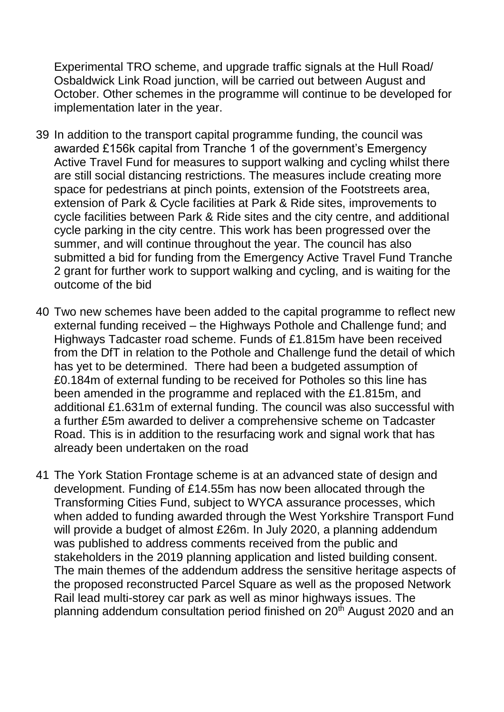Experimental TRO scheme, and upgrade traffic signals at the Hull Road/ Osbaldwick Link Road junction, will be carried out between August and October. Other schemes in the programme will continue to be developed for implementation later in the year.

- 39 In addition to the transport capital programme funding, the council was awarded £156k capital from Tranche 1 of the government's Emergency Active Travel Fund for measures to support walking and cycling whilst there are still social distancing restrictions. The measures include creating more space for pedestrians at pinch points, extension of the Footstreets area, extension of Park & Cycle facilities at Park & Ride sites, improvements to cycle facilities between Park & Ride sites and the city centre, and additional cycle parking in the city centre. This work has been progressed over the summer, and will continue throughout the year. The council has also submitted a bid for funding from the Emergency Active Travel Fund Tranche 2 grant for further work to support walking and cycling, and is waiting for the outcome of the bid
- 40 Two new schemes have been added to the capital programme to reflect new external funding received – the Highways Pothole and Challenge fund; and Highways Tadcaster road scheme. Funds of £1.815m have been received from the DfT in relation to the Pothole and Challenge fund the detail of which has yet to be determined. There had been a budgeted assumption of £0.184m of external funding to be received for Potholes so this line has been amended in the programme and replaced with the £1.815m, and additional £1.631m of external funding. The council was also successful with a further £5m awarded to deliver a comprehensive scheme on Tadcaster Road. This is in addition to the resurfacing work and signal work that has already been undertaken on the road
- 41 The York Station Frontage scheme is at an advanced state of design and development. Funding of £14.55m has now been allocated through the Transforming Cities Fund, subject to WYCA assurance processes, which when added to funding awarded through the West Yorkshire Transport Fund will provide a budget of almost £26m. In July 2020, a planning addendum was published to address comments received from the public and stakeholders in the 2019 planning application and listed building consent. The main themes of the addendum address the sensitive heritage aspects of the proposed reconstructed Parcel Square as well as the proposed Network Rail lead multi-storey car park as well as minor highways issues. The planning addendum consultation period finished on 20<sup>th</sup> August 2020 and an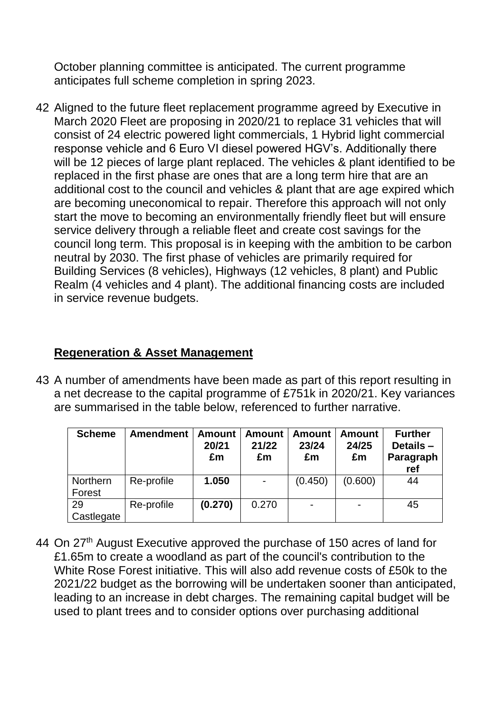October planning committee is anticipated. The current programme anticipates full scheme completion in spring 2023.

42 Aligned to the future fleet replacement programme agreed by Executive in March 2020 Fleet are proposing in 2020/21 to replace 31 vehicles that will consist of 24 electric powered light commercials, 1 Hybrid light commercial response vehicle and 6 Euro VI diesel powered HGV's. Additionally there will be 12 pieces of large plant replaced. The vehicles & plant identified to be replaced in the first phase are ones that are a long term hire that are an additional cost to the council and vehicles & plant that are age expired which are becoming uneconomical to repair. Therefore this approach will not only start the move to becoming an environmentally friendly fleet but will ensure service delivery through a reliable fleet and create cost savings for the council long term. This proposal is in keeping with the ambition to be carbon neutral by 2030. The first phase of vehicles are primarily required for Building Services (8 vehicles), Highways (12 vehicles, 8 plant) and Public Realm (4 vehicles and 4 plant). The additional financing costs are included in service revenue budgets.

# **Regeneration & Asset Management**

43 A number of amendments have been made as part of this report resulting in a net decrease to the capital programme of £751k in 2020/21. Key variances are summarised in the table below, referenced to further narrative.

| <b>Scheme</b>      | <b>Amendment</b> | <b>Amount</b><br>20/21<br>£m | <b>Amount</b><br>21/22<br>£m | <b>Amount</b><br>23/24<br>£m | <b>Amount</b><br>24/25<br>£m | <b>Further</b><br>Details-<br>Paragraph<br>ref |
|--------------------|------------------|------------------------------|------------------------------|------------------------------|------------------------------|------------------------------------------------|
| Northern<br>Forest | Re-profile       | 1.050                        |                              | (0.450)                      | (0.600)                      | 44                                             |
| 29<br>Castlegate   | Re-profile       | (0.270)                      | 0.270                        | $\overline{\phantom{0}}$     |                              | 45                                             |

44 On 27<sup>th</sup> August Executive approved the purchase of 150 acres of land for £1.65m to create a woodland as part of the council's contribution to the White Rose Forest initiative. This will also add revenue costs of £50k to the 2021/22 budget as the borrowing will be undertaken sooner than anticipated, leading to an increase in debt charges. The remaining capital budget will be used to plant trees and to consider options over purchasing additional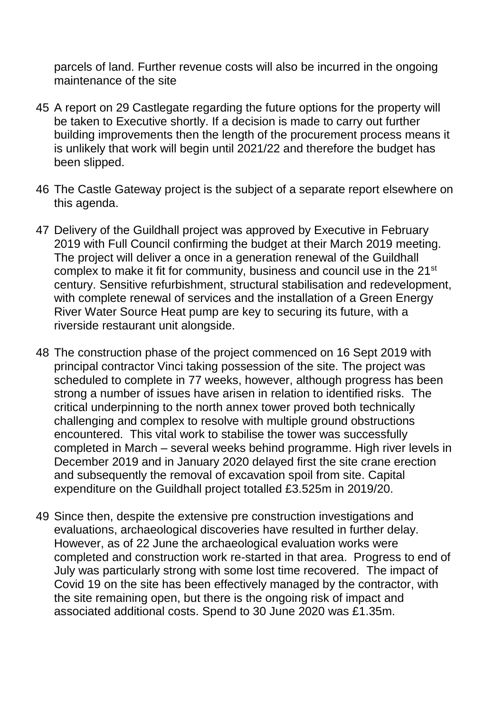parcels of land. Further revenue costs will also be incurred in the ongoing maintenance of the site

- 45 A report on 29 Castlegate regarding the future options for the property will be taken to Executive shortly. If a decision is made to carry out further building improvements then the length of the procurement process means it is unlikely that work will begin until 2021/22 and therefore the budget has been slipped.
- 46 The Castle Gateway project is the subject of a separate report elsewhere on this agenda.
- 47 Delivery of the Guildhall project was approved by Executive in February 2019 with Full Council confirming the budget at their March 2019 meeting. The project will deliver a once in a generation renewal of the Guildhall complex to make it fit for community, business and council use in the 21<sup>st</sup> century. Sensitive refurbishment, structural stabilisation and redevelopment, with complete renewal of services and the installation of a Green Energy River Water Source Heat pump are key to securing its future, with a riverside restaurant unit alongside.
- 48 The construction phase of the project commenced on 16 Sept 2019 with principal contractor Vinci taking possession of the site. The project was scheduled to complete in 77 weeks, however, although progress has been strong a number of issues have arisen in relation to identified risks. The critical underpinning to the north annex tower proved both technically challenging and complex to resolve with multiple ground obstructions encountered. This vital work to stabilise the tower was successfully completed in March – several weeks behind programme. High river levels in December 2019 and in January 2020 delayed first the site crane erection and subsequently the removal of excavation spoil from site. Capital expenditure on the Guildhall project totalled £3.525m in 2019/20.
- 49 Since then, despite the extensive pre construction investigations and evaluations, archaeological discoveries have resulted in further delay. However, as of 22 June the archaeological evaluation works were completed and construction work re-started in that area. Progress to end of July was particularly strong with some lost time recovered. The impact of Covid 19 on the site has been effectively managed by the contractor, with the site remaining open, but there is the ongoing risk of impact and associated additional costs. Spend to 30 June 2020 was £1.35m.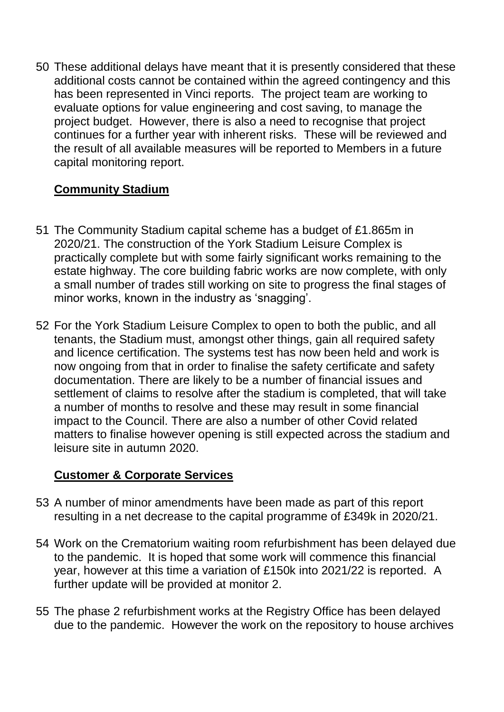50 These additional delays have meant that it is presently considered that these additional costs cannot be contained within the agreed contingency and this has been represented in Vinci reports. The project team are working to evaluate options for value engineering and cost saving, to manage the project budget. However, there is also a need to recognise that project continues for a further year with inherent risks. These will be reviewed and the result of all available measures will be reported to Members in a future capital monitoring report.

# **Community Stadium**

- 51 The Community Stadium capital scheme has a budget of £1.865m in 2020/21. The construction of the York Stadium Leisure Complex is practically complete but with some fairly significant works remaining to the estate highway. The core building fabric works are now complete, with only a small number of trades still working on site to progress the final stages of minor works, known in the industry as 'snagging'.
- 52 For the York Stadium Leisure Complex to open to both the public, and all tenants, the Stadium must, amongst other things, gain all required safety and licence certification. The systems test has now been held and work is now ongoing from that in order to finalise the safety certificate and safety documentation. There are likely to be a number of financial issues and settlement of claims to resolve after the stadium is completed, that will take a number of months to resolve and these may result in some financial impact to the Council. There are also a number of other Covid related matters to finalise however opening is still expected across the stadium and leisure site in autumn 2020.

#### **Customer & Corporate Services**

- 53 A number of minor amendments have been made as part of this report resulting in a net decrease to the capital programme of £349k in 2020/21.
- 54 Work on the Crematorium waiting room refurbishment has been delayed due to the pandemic. It is hoped that some work will commence this financial year, however at this time a variation of £150k into 2021/22 is reported. A further update will be provided at monitor 2.
- 55 The phase 2 refurbishment works at the Registry Office has been delayed due to the pandemic. However the work on the repository to house archives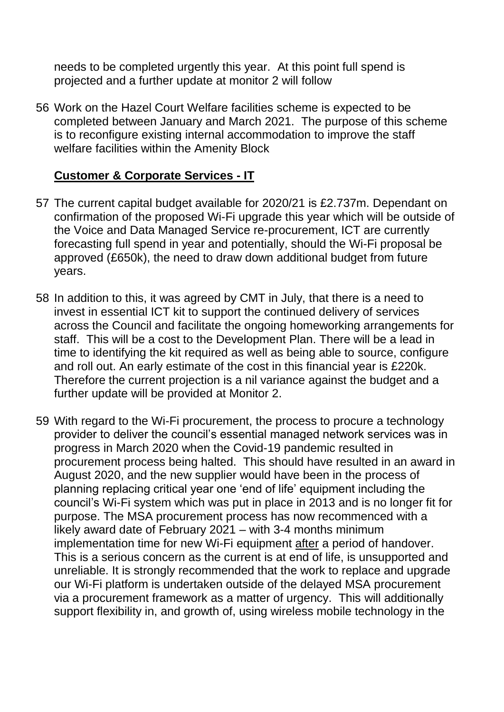needs to be completed urgently this year. At this point full spend is projected and a further update at monitor 2 will follow

56 Work on the Hazel Court Welfare facilities scheme is expected to be completed between January and March 2021. The purpose of this scheme is to reconfigure existing internal accommodation to improve the staff welfare facilities within the Amenity Block

#### **Customer & Corporate Services - IT**

- 57 The current capital budget available for 2020/21 is £2.737m. Dependant on confirmation of the proposed Wi-Fi upgrade this year which will be outside of the Voice and Data Managed Service re-procurement, ICT are currently forecasting full spend in year and potentially, should the Wi-Fi proposal be approved (£650k), the need to draw down additional budget from future years.
- 58 In addition to this, it was agreed by CMT in July, that there is a need to invest in essential ICT kit to support the continued delivery of services across the Council and facilitate the ongoing homeworking arrangements for staff. This will be a cost to the Development Plan. There will be a lead in time to identifying the kit required as well as being able to source, configure and roll out. An early estimate of the cost in this financial year is £220k. Therefore the current projection is a nil variance against the budget and a further update will be provided at Monitor 2.
- 59 With regard to the Wi-Fi procurement, the process to procure a technology provider to deliver the council's essential managed network services was in progress in March 2020 when the Covid-19 pandemic resulted in procurement process being halted. This should have resulted in an award in August 2020, and the new supplier would have been in the process of planning replacing critical year one 'end of life' equipment including the council's Wi-Fi system which was put in place in 2013 and is no longer fit for purpose. The MSA procurement process has now recommenced with a likely award date of February 2021 – with 3-4 months minimum implementation time for new Wi-Fi equipment after a period of handover. This is a serious concern as the current is at end of life, is unsupported and unreliable. It is strongly recommended that the work to replace and upgrade our Wi-Fi platform is undertaken outside of the delayed MSA procurement via a procurement framework as a matter of urgency. This will additionally support flexibility in, and growth of, using wireless mobile technology in the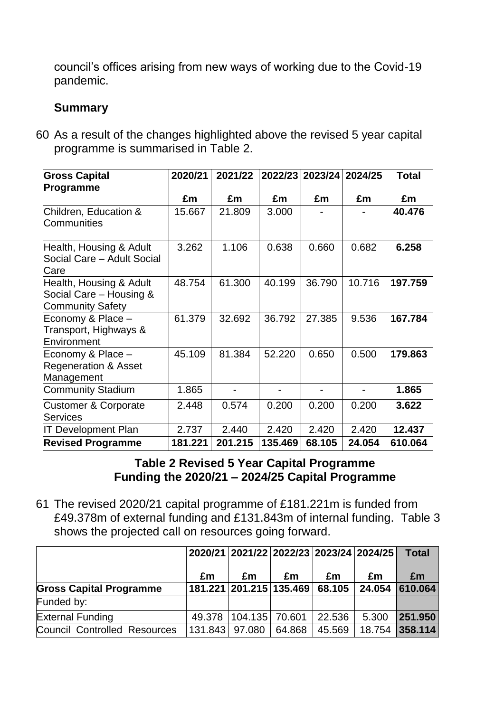council's offices arising from new ways of working due to the Covid-19 pandemic.

#### **Summary**

60 As a result of the changes highlighted above the revised 5 year capital programme is summarised in Table 2.

| <b>Gross Capital</b>                                                          | 2020/21 | 2021/22 |         | 2022/23 2023/24 2024/25 |        | <b>Total</b> |
|-------------------------------------------------------------------------------|---------|---------|---------|-------------------------|--------|--------------|
| Programme                                                                     |         |         |         |                         |        |              |
|                                                                               | £m      | £m      | £m      | £m                      | £m     | £m           |
| Children, Education &<br>Communities                                          | 15.667  | 21.809  | 3.000   |                         |        | 40.476       |
| Health, Housing & Adult<br>Social Care - Adult Social<br>Care                 | 3.262   | 1.106   | 0.638   | 0.660                   | 0.682  | 6.258        |
| Health, Housing & Adult<br>Social Care - Housing &<br><b>Community Safety</b> | 48.754  | 61.300  | 40.199  | 36.790                  | 10.716 | 197.759      |
| Economy & Place -<br>Transport, Highways &<br>Environment                     | 61.379  | 32.692  | 36.792  | 27.385                  | 9.536  | 167.784      |
| Economy & Place -<br><b>Regeneration &amp; Asset</b><br>Management            | 45.109  | 81.384  | 52.220  | 0.650                   | 0.500  | 179.863      |
| <b>Community Stadium</b>                                                      | 1.865   |         |         |                         |        | 1.865        |
| <b>Customer &amp; Corporate</b><br><b>Services</b>                            | 2.448   | 0.574   | 0.200   | 0.200                   | 0.200  | 3.622        |
| <b>IT Development Plan</b>                                                    | 2.737   | 2.440   | 2.420   | 2.420                   | 2.420  | 12.437       |
| <b>Revised Programme</b>                                                      | 181.221 | 201.215 | 135.469 | 68.105                  | 24.054 | 610.064      |

#### **Table 2 Revised 5 Year Capital Programme Funding the 2020/21 – 2024/25 Capital Programme**

61 The revised 2020/21 capital programme of £181.221m is funded from £49.378m of external funding and £131.843m of internal funding. Table 3 shows the projected call on resources going forward.

|                                     |                | 2020/21 2021/22 2022/23 2023/24 2024/25 |        |        |        | <b>Total</b> |
|-------------------------------------|----------------|-----------------------------------------|--------|--------|--------|--------------|
|                                     | £m             | £m                                      | £m     | £m     | £m     | £m           |
| <b>Gross Capital Programme</b>      |                | 181.221 201.215 135.469                 |        | 68.105 | 24.054 | 610.064      |
| Funded by:                          |                |                                         |        |        |        |              |
| <b>External Funding</b>             | 49.378         | 104.135  70.601                         |        | 22.536 | 5.300  | 251.950      |
| <b>Council Controlled Resources</b> | 131.843 97.080 |                                         | 64.868 | 45.569 | 18.754 | 358.114      |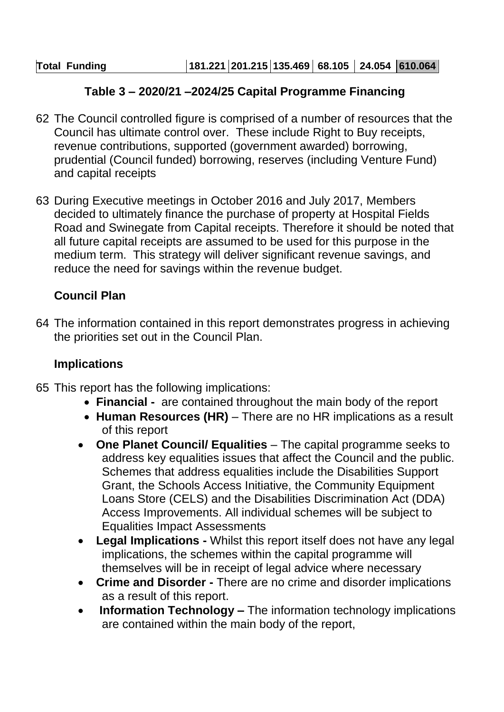#### **Table 3 – 2020/21 –2024/25 Capital Programme Financing**

- 62 The Council controlled figure is comprised of a number of resources that the Council has ultimate control over. These include Right to Buy receipts, revenue contributions, supported (government awarded) borrowing, prudential (Council funded) borrowing, reserves (including Venture Fund) and capital receipts
- 63 During Executive meetings in October 2016 and July 2017, Members decided to ultimately finance the purchase of property at Hospital Fields Road and Swinegate from Capital receipts. Therefore it should be noted that all future capital receipts are assumed to be used for this purpose in the medium term. This strategy will deliver significant revenue savings, and reduce the need for savings within the revenue budget.

# **Council Plan**

64 The information contained in this report demonstrates progress in achieving the priorities set out in the Council Plan.

#### **Implications**

- 65 This report has the following implications:
	- **Financial** are contained throughout the main body of the report
	- **Human Resources (HR)** There are no HR implications as a result of this report
	- **One Planet Council/ Equalities**  The capital programme seeks to address key equalities issues that affect the Council and the public. Schemes that address equalities include the Disabilities Support Grant, the Schools Access Initiative, the Community Equipment Loans Store (CELS) and the Disabilities Discrimination Act (DDA) Access Improvements. All individual schemes will be subject to Equalities Impact Assessments
	- **Legal Implications -** Whilst this report itself does not have any legal implications, the schemes within the capital programme will themselves will be in receipt of legal advice where necessary
	- **Crime and Disorder -** There are no crime and disorder implications as a result of this report.
	- **Information Technology –** The information technology implications are contained within the main body of the report,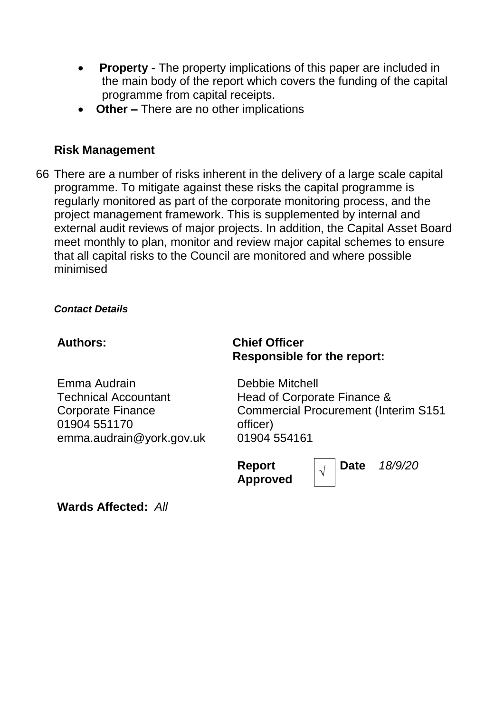- **Property -** The property implications of this paper are included in the main body of the report which covers the funding of the capital programme from capital receipts.
- **Other –** There are no other implications

#### **Risk Management**

66 There are a number of risks inherent in the delivery of a large scale capital programme. To mitigate against these risks the capital programme is regularly monitored as part of the corporate monitoring process, and the project management framework. This is supplemented by internal and external audit reviews of major projects. In addition, the Capital Asset Board meet monthly to plan, monitor and review major capital schemes to ensure that all capital risks to the Council are monitored and where possible minimised

*Contact Details*

# Emma Audrain Technical Accountant Corporate Finance 01904 551170

emma.audrain@york.gov.uk

#### **Authors: Chief Officer Responsible for the report:**

Debbie Mitchell Head of Corporate Finance & Commercial Procurement (Interim S151 officer) 01904 554161

**Report Approved** *<sup>√</sup>* **Date** *18/9/20*

**Wards Affected:** *All*